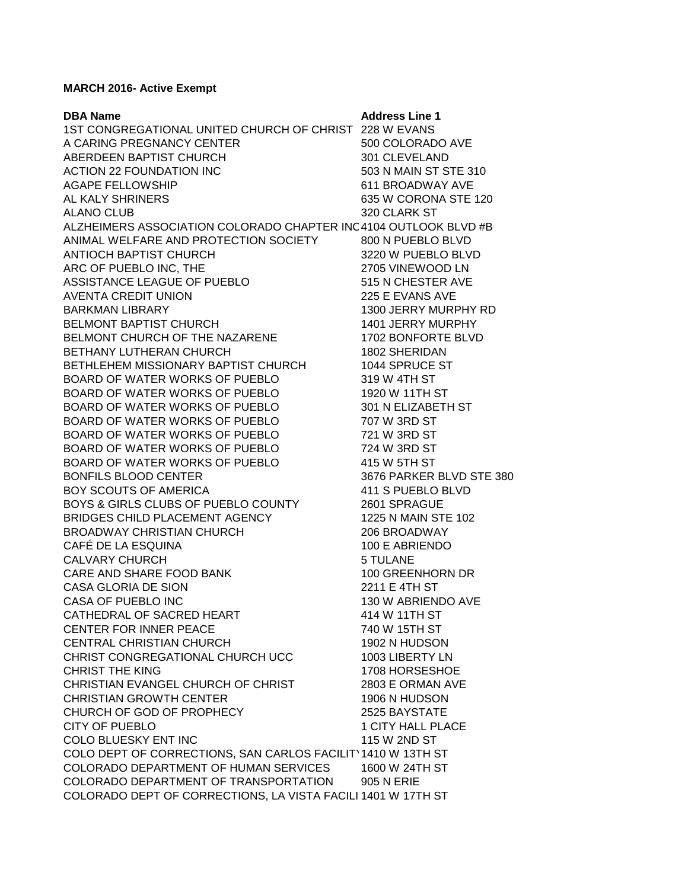## **MARCH 2016- Active Exempt**

| <b>DBA Name</b>                                                  | <b>Address Line 1</b>    |
|------------------------------------------------------------------|--------------------------|
| 1ST CONGREGATIONAL UNITED CHURCH OF CHRIST 228 W EVANS           |                          |
| A CARING PREGNANCY CENTER                                        | 500 COLORADO AVE         |
| ABERDEEN BAPTIST CHURCH                                          | 301 CLEVELAND            |
| <b>ACTION 22 FOUNDATION INC</b>                                  | 503 N MAIN ST STE 310    |
| <b>AGAPE FELLOWSHIP</b>                                          | 611 BROADWAY AVE         |
| AL KALY SHRINERS                                                 | 635 W CORONA STE 120     |
| <b>ALANO CLUB</b>                                                | 320 CLARK ST             |
| ALZHEIMERS ASSOCIATION COLORADO CHAPTER INC 4104 OUTLOOK BLVD #B |                          |
| ANIMAL WELFARE AND PROTECTION SOCIETY                            | 800 N PUEBLO BLVD        |
| ANTIOCH BAPTIST CHURCH                                           | 3220 W PUEBLO BLVD       |
| ARC OF PUEBLO INC, THE                                           | 2705 VINEWOOD LN         |
| ASSISTANCE LEAGUE OF PUEBLO                                      | 515 N CHESTER AVE        |
| <b>AVENTA CREDIT UNION</b>                                       | 225 E EVANS AVE          |
| <b>BARKMAN LIBRARY</b>                                           | 1300 JERRY MURPHY RD     |
| <b>BELMONT BAPTIST CHURCH</b>                                    | 1401 JERRY MURPHY        |
| BELMONT CHURCH OF THE NAZARENE                                   | 1702 BONFORTE BLVD       |
| <b>BETHANY LUTHERAN CHURCH</b>                                   | 1802 SHERIDAN            |
| BETHLEHEM MISSIONARY BAPTIST CHURCH                              | 1044 SPRUCE ST           |
| BOARD OF WATER WORKS OF PUEBLO                                   | 319 W 4TH ST             |
| BOARD OF WATER WORKS OF PUEBLO                                   | 1920 W 11TH ST           |
| BOARD OF WATER WORKS OF PUEBLO                                   | 301 N ELIZABETH ST       |
| BOARD OF WATER WORKS OF PUEBLO                                   | 707 W 3RD ST             |
| BOARD OF WATER WORKS OF PUEBLO                                   | 721 W 3RD ST             |
| BOARD OF WATER WORKS OF PUEBLO                                   | 724 W 3RD ST             |
| BOARD OF WATER WORKS OF PUEBLO                                   | 415 W 5TH ST             |
| <b>BONFILS BLOOD CENTER</b>                                      | 3676 PARKER BLVD STE 380 |
| BOY SCOUTS OF AMERICA                                            | 411 S PUEBLO BLVD        |
| BOYS & GIRLS CLUBS OF PUEBLO COUNTY                              | 2601 SPRAGUE             |
| BRIDGES CHILD PLACEMENT AGENCY                                   | 1225 N MAIN STE 102      |
| <b>BROADWAY CHRISTIAN CHURCH</b>                                 | 206 BROADWAY             |
| CAFÉ DE LA ESQUINA                                               | 100 E ABRIENDO           |
| <b>CALVARY CHURCH</b>                                            | 5 TULANE                 |
| CARE AND SHARE FOOD BANK                                         | 100 GREENHORN DR         |
| <b>CASA GLORIA DE SION</b>                                       | 2211 E 4TH ST            |
| <b>CASA OF PUEBLO INC</b>                                        | 130 W ABRIENDO AVE       |
| CATHEDRAL OF SACRED HEART                                        | 414 W 11TH ST            |
| CENTER FOR INNER PEACE                                           | 740 W 15TH ST            |
| CENTRAL CHRISTIAN CHURCH                                         | 1902 N HUDSON            |
| CHRIST CONGREGATIONAL CHURCH UCC                                 | 1003 LIBERTY LN          |
| CHRIST THE KING                                                  | 1708 HORSESHOE           |
| CHRISTIAN EVANGEL CHURCH OF CHRIST                               | 2803 E ORMAN AVE         |
| <b>CHRISTIAN GROWTH CENTER</b>                                   | 1906 N HUDSON            |
| CHURCH OF GOD OF PROPHECY                                        | 2525 BAYSTATE            |
| <b>CITY OF PUEBLO</b>                                            | 1 CITY HALL PLACE        |
| COLO BLUESKY ENT INC                                             | 115 W 2ND ST             |
| COLO DEPT OF CORRECTIONS, SAN CARLOS FACILITY 1410 W 13TH ST     |                          |
| COLORADO DEPARTMENT OF HUMAN SERVICES                            | 1600 W 24TH ST           |
| COLORADO DEPARTMENT OF TRANSPORTATION                            | 905 N ERIE               |
| COLORADO DEPT OF CORRECTIONS, LA VISTA FACILI 1401 W 17TH ST     |                          |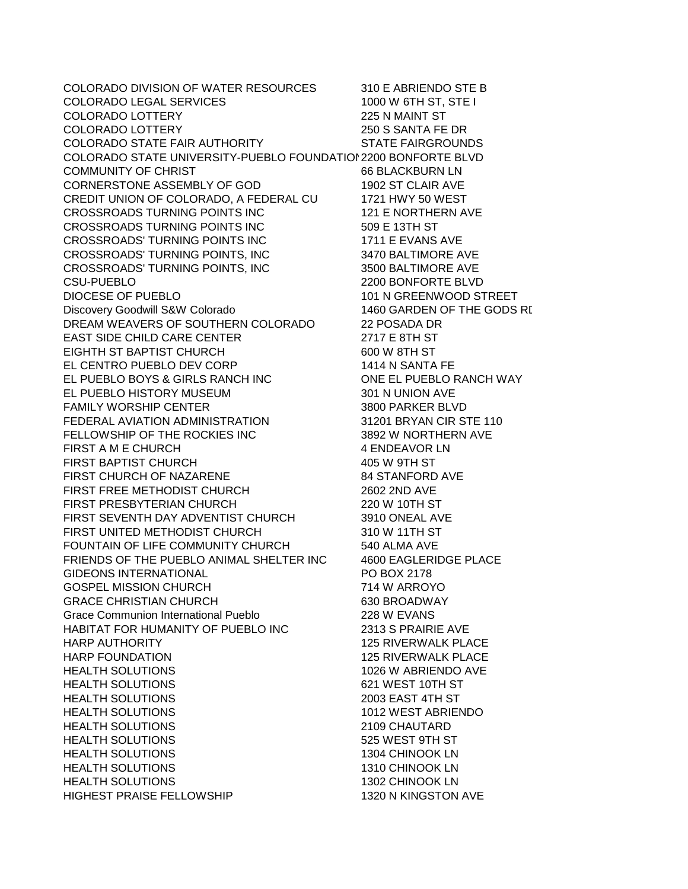COLORADO DIVISION OF WATER RESOURCES 310 E ABRIENDO STE B COLORADO LEGAL SERVICES 1000 W 6TH ST, STE I COLORADO LOTTERY 225 N MAINT ST COLORADO LOTTERY 250 S SANTA FE DR COLORADO STATE FAIR AUTHORITY COLORADO STATE UNIVERSITY-PUEBLO FOUNDATION2200 BONFORTE BLVD COMMUNITY OF CHRIST G6 BLACKBURN LN CORNERSTONE ASSEMBLY OF GOD 1902 ST CLAIR AVE CREDIT UNION OF COLORADO, A FEDERAL CU 1721 HWY 50 WEST CROSSROADS TURNING POINTS INC 121 E NORTHERN AVE CROSSROADS TURNING POINTS INC 509 E 13TH ST CROSSROADS' TURNING POINTS INC 1711 E EVANS AVE CROSSROADS' TURNING POINTS, INC 3470 BALTIMORE AVE CROSSROADS' TURNING POINTS, INC 3500 BALTIMORE AVE CSU-PUEBLO 2200 BONFORTE BLVD Discovery Goodwill S&W Colorado 1460 GARDEN OF THE GODS RI DREAM WEAVERS OF SOUTHERN COLORADO 22 POSADA DR EAST SIDE CHILD CARE CENTER<br>EIGHTH ST BAPTIST CHURCH 600 W 8TH ST **EIGHTH ST BAPTIST CHURCH** EL CENTRO PUEBLO DEV CORP 1414 N SANTA FE EL PUEBLO BOYS & GIRLS RANCH INC ONE EL PUEBLO RANCH WAY EL PUEBLO HISTORY MUSEUM 301 N UNION AVE FAMILY WORSHIP CENTER **1990 FAMILY WORSHIP CENTER** 3800 PARKER BLVD FEDERAL AVIATION ADMINISTRATION 31201 BRYAN CIR STE 110 FELLOWSHIP OF THE ROCKIES INC 3892 W NORTHERN AVE FIRST A M E CHURCH **A SET A MEDIA A ENDEAVOR LN** FIRST BAPTIST CHURCH 405 W 9TH ST FIRST CHURCH OF NAZARENE 84 STANFORD AVE FIRST FREE METHODIST CHURCH 2602 2ND AVE FIRST PRESBYTERIAN CHURCH 220 W 10TH ST FIRST SEVENTH DAY ADVENTIST CHURCH 3910 ONEAL AVE FIRST UNITED METHODIST CHURCH 310 W 11TH ST FOUNTAIN OF LIFE COMMUNITY CHURCH 540 ALMA AVE FRIENDS OF THE PUEBLO ANIMAL SHELTER INC 4600 EAGLERIDGE PLACE GIDEONS INTERNATIONAL PO BOX 2178 GOSPEL MISSION CHURCH 714 W ARROYO GRACE CHRISTIAN CHURCH 630 BROADWAY Grace Communion International Pueblo 228 W EVANS HABITAT FOR HUMANITY OF PUEBLO INC 2313 S PRAIRIE AVE HARP AUTHORITY 125 RIVERWALK PLACE HARP FOUNDATION 125 RIVERWALK PLACE HEALTH SOLUTIONS 1026 W ABRIENDO AVE HEALTH SOLUTIONS 621 WEST 10TH ST HEALTH SOLUTIONS 2003 EAST 4TH ST HEALTH SOLUTIONS 1012 WEST ABRIENDO HEALTH SOLUTIONS 2109 CHAUTARD HEALTH SOLUTIONS 525 WEST 9TH ST HEALTH SOLUTIONS 1304 CHINOOK LN HEALTH SOLUTIONS 1310 CHINOOK LN HEALTH SOLUTIONS 1302 CHINOOK LN HIGHEST PRAISE FELLOWSHIP 1320 N KINGSTON AVE

101 N GREENWOOD STREET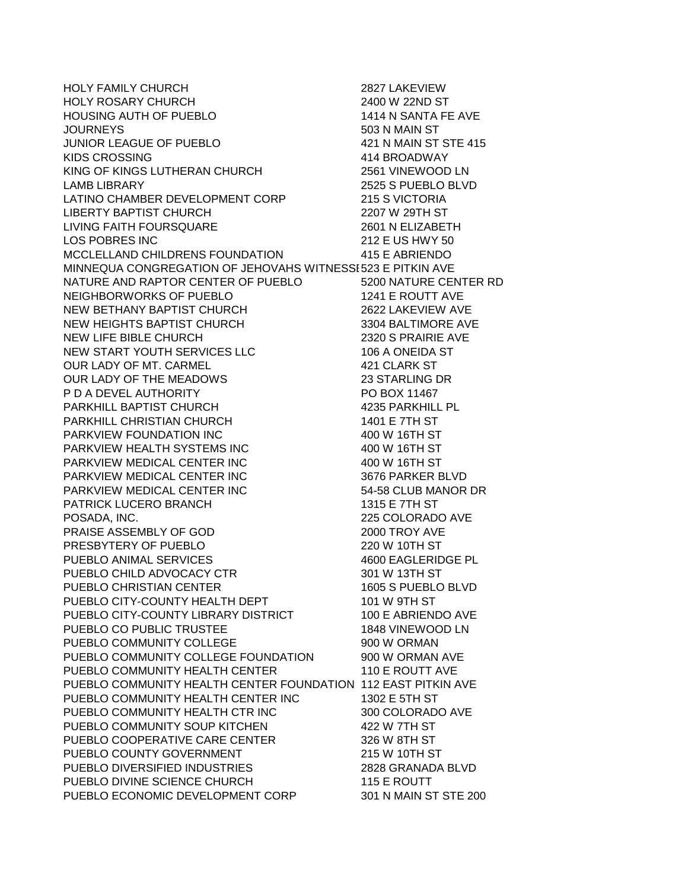HOLY FAMILY CHURCH 2827 LAKEVIEW HOLY ROSARY CHURCH 2400 W 22ND ST HOUSING AUTH OF PUEBLO 1414 N SANTA FE AVE JOURNEYS 503 N MAIN ST JUNIOR LEAGUE OF PUEBLO KIDS CROSSING 414 BROADWAY KING OF KINGS LUTHERAN CHURCH 2561 VINEWOOD LN LAMB LIBRARY 2525 S PUEBLO BLVD LATINO CHAMBER DEVELOPMENT CORP 215 S VICTORIA LIBERTY BAPTIST CHURCH 2207 W 29TH ST LIVING FAITH FOURSQUARE 2601 N ELIZABETH LOS POBRES INC 212 E US HWY 50 MCCLELLAND CHILDRENS FOUNDATION 415 E ABRIENDO MINNEQUA CONGREGATION OF JEHOVAHS WITNESSE523 E PITKIN AVE NATURE AND RAPTOR CENTER OF PUEBLO 5200 NATURE CENTER RD NEIGHBORWORKS OF PUEBLO 1241 E ROUTT AVE NEW BETHANY BAPTIST CHURCH 2622 LAKEVIEW AVE NEW HEIGHTS BAPTIST CHURCH 3304 BALTIMORE AVE NEW LIFE BIBLE CHURCH 2320 S PRAIRIE AVE NEW START YOUTH SERVICES LLC 106 A ONEIDA ST OUR LADY OF MT. CARMEL 421 CLARK ST OUR LADY OF THE MEADOWS 23 STARLING DR P D A DEVEL AUTHORITY PO BOX 11467 PARKHILL BAPTIST CHURCH 4235 PARKHILL PL PARKHILL CHRISTIAN CHURCH 1401 E 7TH ST PARKVIEW FOUNDATION INC 400 W 16TH ST PARKVIEW HEALTH SYSTEMS INC  $\begin{array}{ccc} 400 \text{ W 16TH ST} \end{array}$ PARKVIEW MEDICAL CENTER INC 400 W 16TH ST PARKVIEW MEDICAL CENTER INC 3676 PARKER BLVD PARKVIEW MEDICAL CENTER INC 54-58 CLUB MANOR DR PATRICK LUCERO BRANCH 1315 E 7TH ST POSADA, INC. 225 COLORADO AVE PRAISE ASSEMBLY OF GOD 2000 TROY AVE PRESBYTERY OF PUEBLO 220 W 10TH ST PUEBLO ANIMAL SERVICES 4600 EAGLERIDGE PL PUEBLO CHILD ADVOCACY CTR 301 W 13TH ST PUEBLO CHRISTIAN CENTER 1605 S PUEBLO BLVD PUEBLO CITY-COUNTY HEALTH DEPT 101 W 9TH ST PUEBLO CITY-COUNTY LIBRARY DISTRICT 100 E ABRIENDO AVE PUEBLO CO PUBLIC TRUSTEE 1848 VINEWOOD LN PUEBLO COMMUNITY COLLEGE 900 W ORMAN PUEBLO COMMUNITY COLLEGE FOUNDATION 900 W ORMAN AVE PUEBLO COMMUNITY HEALTH CENTER 110 E ROUTT AVE PUEBLO COMMUNITY HEALTH CENTER FOUNDATION 112 EAST PITKIN AVE PUEBLO COMMUNITY HEALTH CENTER INC 1302 E 5TH ST PUEBLO COMMUNITY HEALTH CTR INC 300 COLORADO AVE PUEBLO COMMUNITY SOUP KITCHEN 422 W 7TH ST PUEBLO COOPERATIVE CARE CENTER 326 W 8TH ST PUEBLO COUNTY GOVERNMENT 215 W 10TH ST PUEBLO DIVERSIFIED INDUSTRIES 2828 GRANADA BLVD PUEBLO DIVINE SCIENCE CHURCH 115 E ROUTT PUEBLO ECONOMIC DEVELOPMENT CORP 301 N MAIN ST STE 200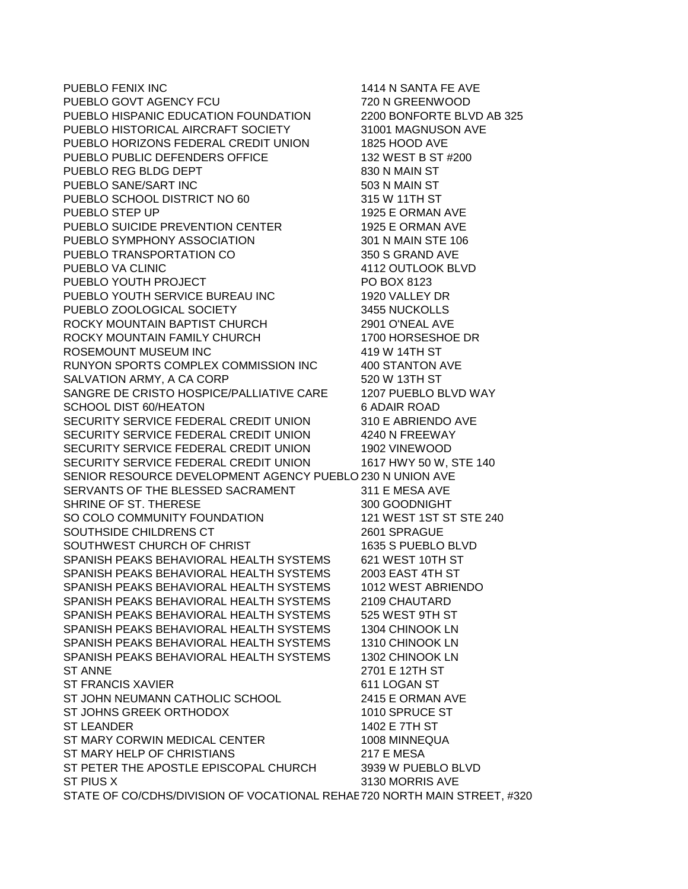PUEBLO FENIX INC **1414 N SANTA FE AVE** PUEBLO GOVT AGENCY FCU<br>PUEBLO HISPANIC EDUCATION FOUNDATION 2200 BONFORTE BLVD AB 325 PUEBLO HISPANIC EDUCATION FOUNDATION PUEBLO HISTORICAL AIRCRAFT SOCIETY 31001 MAGNUSON AVE<br>PUEBLO HORIZONS FEDERAL CREDIT UNION 1825 HOOD AVE PUEBLO HORIZONS FEDERAL CREDIT UNION PUEBLO PUBLIC DEFENDERS OFFICE 132 WEST B ST #200 PUEBLO REG BLDG DEPT 830 N MAIN ST PUEBLO SANE/SART INC 503 N MAIN ST PUEBLO SCHOOL DISTRICT NO 60 315 W 11TH ST PUEBLO STEP UP 1925 E ORMAN AVE PUEBLO SUICIDE PREVENTION CENTER 1925 E ORMAN AVE PUEBLO SYMPHONY ASSOCIATION 301 N MAIN STE 106 PUEBLO TRANSPORTATION CO 350 S GRAND AVE PUEBLO VA CLINIC 4112 OUTLOOK BLVD PUEBLO YOUTH PROJECT PO BOX 8123 PUEBLO YOUTH SERVICE BUREAU INC PUEBLO ZOOLOGICAL SOCIETY 3455 NUCKOLLS ROCKY MOUNTAIN BAPTIST CHURCH 2901 O'NEAL AVE ROCKY MOUNTAIN FAMILY CHURCH 1700 HORSESHOE DR ROSEMOUNT MUSEUM INC 419 W 14TH ST RUNYON SPORTS COMPLEX COMMISSION INC 400 STANTON AVE SALVATION ARMY, A CA CORP 520 W 13TH ST SANGRE DE CRISTO HOSPICE/PALLIATIVE CARE 1207 PUEBLO BLVD WAY SCHOOL DIST 60/HEATON 6 ADAIR ROAD SECURITY SERVICE FEDERAL CREDIT UNION 310 E ABRIENDO AVE SECURITY SERVICE FEDERAL CREDIT UNION 4240 N FREEWAY SECURITY SERVICE FEDERAL CREDIT UNION 1902 VINEWOOD SECURITY SERVICE FEDERAL CREDIT UNION 1617 HWY 50 W, STE 140 SENIOR RESOURCE DEVELOPMENT AGENCY PUEBLO 230 N UNION AVE SERVANTS OF THE BLESSED SACRAMENT 311 E MESA AVE SHRINE OF ST. THERESE 300 GOODNIGHT SO COLO COMMUNITY FOUNDATION 121 WEST 1ST ST STE 240 SOUTHSIDE CHILDRENS CT 2601 SPRAGUE SOUTHWEST CHURCH OF CHRIST 1635 S PUEBLO BLVD SPANISH PEAKS BEHAVIORAL HEALTH SYSTEMS 621 WEST 10TH ST SPANISH PEAKS BEHAVIORAL HEALTH SYSTEMS 2003 EAST 4TH ST SPANISH PEAKS BEHAVIORAL HEALTH SYSTEMS 1012 WEST ABRIENDO SPANISH PEAKS BEHAVIORAL HEALTH SYSTEMS 2109 CHAUTARD SPANISH PEAKS BEHAVIORAL HEALTH SYSTEMS 525 WEST 9TH ST SPANISH PEAKS BEHAVIORAL HEALTH SYSTEMS 1304 CHINOOK LN SPANISH PEAKS BEHAVIORAL HEALTH SYSTEMS 1310 CHINOOK LN SPANISH PEAKS BEHAVIORAL HEALTH SYSTEMS 1302 CHINOOK LN ST ANNE 2701 E 12TH ST ST FRANCIS XAVIER 611 LOGAN ST ST JOHN NEUMANN CATHOLIC SCHOOL 2415 E ORMAN AVE ST JOHNS GREEK ORTHODOX 1010 SPRUCE ST ST LEANDER 1402 E 7TH ST ST MARY CORWIN MEDICAL CENTER 1008 MINNEQUA ST MARY HELP OF CHRISTIANS 217 E MESA ST PETER THE APOSTLE EPISCOPAL CHURCH 3939 W PUEBLO BLVD ST PIUS X 3130 MORRIS AVE STATE OF CO/CDHS/DIVISION OF VOCATIONAL REHAB720 NORTH MAIN STREET, #320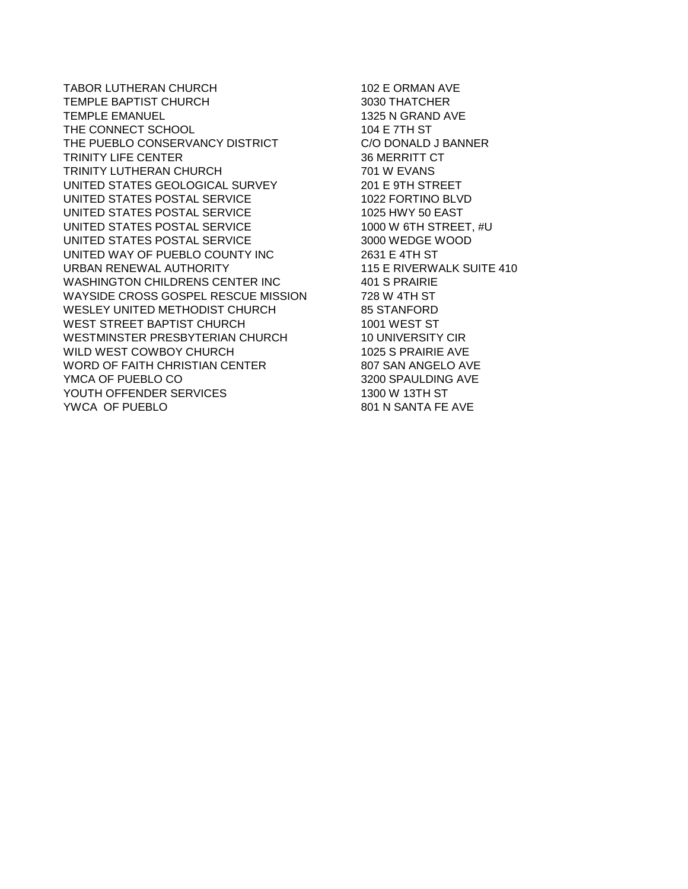TABOR LUTHERAN CHURCH 102 E ORMAN AVE TEMPLE BAPTIST CHURCH **1998** TEMPLE BAPTIST CHURCH TEMPLE EMANUEL 1325 N GRAND AVE THE CONNECT SCHOOL 104 E 7TH ST<br>THE PUEBLO CONSERVANCY DISTRICT CODONALD J BANNER THE PUEBLO CONSERVANCY DISTRICT TRINITY LIFE CENTER 36 MERRITT CT TRINITY LUTHERAN CHURCH 701 W EVANS UNITED STATES GEOLOGICAL SURVEY UNITED STATES POSTAL SERVICE 1022 FORTINO BLVD UNITED STATES POSTAL SERVICE 1025 HWY 50 EAST UNITED STATES POSTAL SERVICE 1000 W 6TH STREET, #U<br>UNITED STATES POSTAL SERVICE 3000 WEDGE WOOD UNITED STATES POSTAL SERVICE UNITED WAY OF PUEBLO COUNTY INC 2631 E 4TH ST URBAN RENEWAL AUTHORITY 115 E RIVERWALK SUITE 410 WASHINGTON CHILDRENS CENTER INC 401 S PRAIRIE<br>WAYSIDE CROSS GOSPEL RESCUE MISSION 728 W 4TH ST WAYSIDE CROSS GOSPEL RESCUE MISSION WESLEY UNITED METHODIST CHURCH 85 STANFORD<br>WEST STREET BAPTIST CHURCH 1001 WEST ST WEST STREET BAPTIST CHURCH WESTMINSTER PRESBYTERIAN CHURCH 10 UNIVERSITY CIR WILD WEST COWBOY CHURCH 1025 S PRAIRIE AVE WORD OF FAITH CHRISTIAN CENTER 807 SAN ANGELO AVE YMCA OF PUEBLO CO 3200 SPAULDING AVE YOUTH OFFENDER SERVICES 1300 W 13TH ST

801 N SANTA FE AVE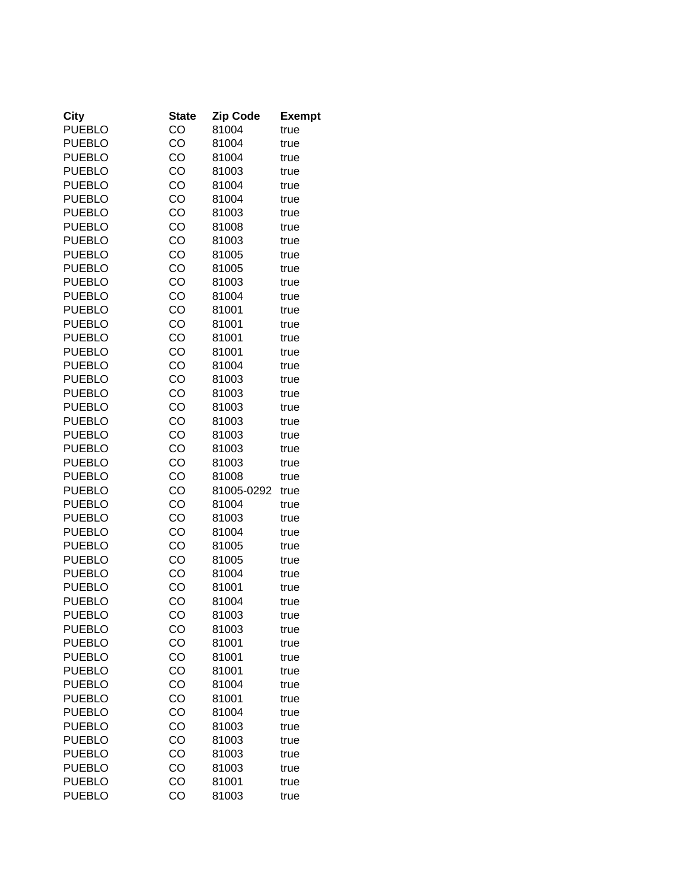| City          | <b>State</b> | <b>Zip Code</b> | <b>Exempt</b> |
|---------------|--------------|-----------------|---------------|
| <b>PUEBLO</b> | CO           | 81004           | true          |
| <b>PUEBLO</b> | CO           | 81004           | true          |
| <b>PUEBLO</b> | CO           | 81004           | true          |
| <b>PUEBLO</b> | CO           | 81003           | true          |
| <b>PUEBLO</b> | CO           | 81004           | true          |
| <b>PUEBLO</b> | CO           | 81004           | true          |
| <b>PUEBLO</b> | CO           | 81003           | true          |
| <b>PUEBLO</b> | CO           | 81008           | true          |
| <b>PUEBLO</b> | CO           | 81003           | true          |
| <b>PUEBLO</b> | CO           | 81005           | true          |
| <b>PUEBLO</b> | CO           | 81005           | true          |
| <b>PUEBLO</b> | CO           | 81003           | true          |
| <b>PUEBLO</b> | CO           | 81004           | true          |
| <b>PUEBLO</b> | CO           | 81001           | true          |
| <b>PUEBLO</b> | CO           | 81001           | true          |
| <b>PUEBLO</b> | CO           | 81001           | true          |
| <b>PUEBLO</b> | CO           | 81001           | true          |
| <b>PUEBLO</b> | CO           | 81004           | true          |
| <b>PUEBLO</b> | CO           | 81003           | true          |
| <b>PUEBLO</b> | CO           | 81003           | true          |
| <b>PUEBLO</b> | CO           | 81003           | true          |
| <b>PUEBLO</b> | CO           | 81003           | true          |
| <b>PUEBLO</b> | CO           | 81003           | true          |
| <b>PUEBLO</b> | CO           | 81003           | true          |
| <b>PUEBLO</b> | CO           | 81003           | true          |
| <b>PUEBLO</b> | CO           | 81008           | true          |
| <b>PUEBLO</b> | CO           | 81005-0292      | true          |
| <b>PUEBLO</b> | CO           | 81004           | true          |
| <b>PUEBLO</b> | CO           | 81003           | true          |
| <b>PUEBLO</b> | CO           | 81004           | true          |
| <b>PUEBLO</b> | CO           | 81005           | true          |
| <b>PUEBLO</b> | CO           | 81005           | true          |
| <b>PUEBLO</b> | CO           | 81004           | true          |
| <b>PUEBLO</b> | CO           | 81001           | true          |
| <b>PUEBLO</b> | CO           | 81004           | true          |
| PUEBLO        | CO           | 81003           | true          |
| <b>PUEBLO</b> | CO           | 81003           | true          |
| <b>PUEBLO</b> | CO           | 81001           | true          |
| <b>PUEBLO</b> | CO           | 81001           | true          |
| <b>PUEBLO</b> | CO           | 81001           | true          |
| <b>PUEBLO</b> | CO           | 81004           | true          |
| <b>PUEBLO</b> | CO           | 81001           | true          |
| <b>PUEBLO</b> | CO           | 81004           | true          |
| <b>PUEBLO</b> | CO           | 81003           | true          |
| <b>PUEBLO</b> | CO           | 81003           | true          |
| <b>PUEBLO</b> | CO           | 81003           | true          |
| <b>PUEBLO</b> | CO           | 81003           | true          |
| <b>PUEBLO</b> | CO           | 81001           | true          |
| <b>PUEBLO</b> | CO           | 81003           | true          |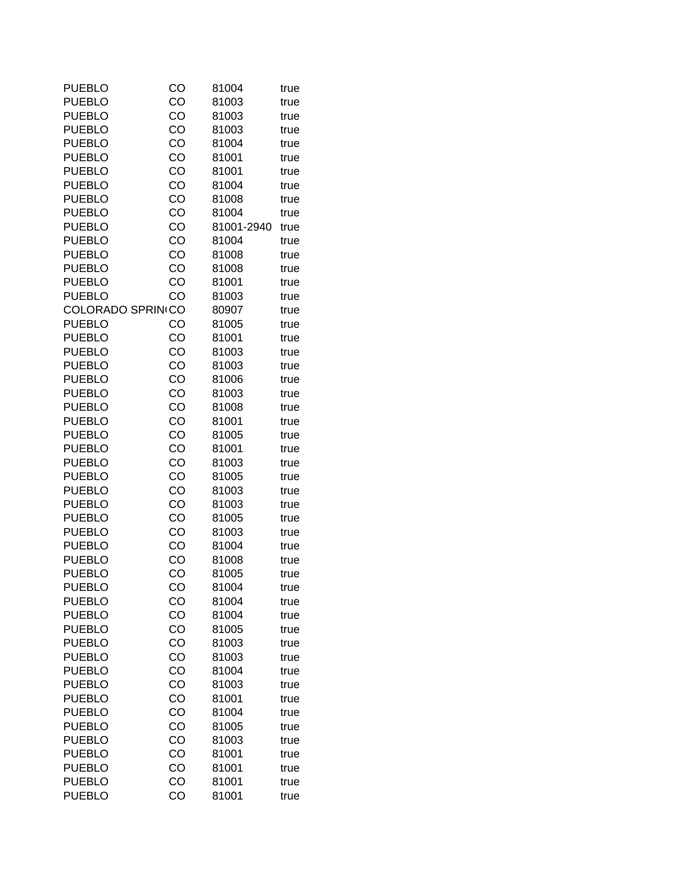| PUEBLO                        | CO | 81004      | true |
|-------------------------------|----|------------|------|
| <b>PUEBLO</b>                 | CO | 81003      | true |
| <b>PUEBLO</b>                 | CO | 81003      | true |
| <b>PUEBLO</b>                 | CO | 81003      | true |
| <b>PUEBLO</b>                 | CO | 81004      | true |
| <b>PUEBLO</b>                 | CO | 81001      | true |
| <b>PUEBLO</b>                 | CO | 81001      | true |
| <b>PUEBLO</b>                 | CO | 81004      | true |
| <b>PUEBLO</b>                 | CO | 81008      | true |
| <b>PUEBLO</b>                 | CO | 81004      | true |
| <b>PUEBLO</b>                 | CO | 81001-2940 | true |
| <b>PUEBLO</b>                 | CO | 81004      | true |
| <b>PUEBLO</b>                 | CO | 81008      | true |
| <b>PUEBLO</b>                 | CO | 81008      |      |
|                               | CO |            | true |
| <b>PUEBLO</b>                 |    | 81001      | true |
| <b>PUEBLO</b>                 | CO | 81003      | true |
| COLORADO SPRIN <sub>ICO</sub> |    | 80907      | true |
| <b>PUEBLO</b>                 | CO | 81005      | true |
| <b>PUEBLO</b>                 | CO | 81001      | true |
| <b>PUEBLO</b>                 | CO | 81003      | true |
| <b>PUEBLO</b>                 | CO | 81003      | true |
| <b>PUEBLO</b>                 | CO | 81006      | true |
| <b>PUEBLO</b>                 | CO | 81003      | true |
| <b>PUEBLO</b>                 | CO | 81008      | true |
| <b>PUEBLO</b>                 | CO | 81001      | true |
| <b>PUEBLO</b>                 | CO | 81005      | true |
| <b>PUEBLO</b>                 | CO | 81001      | true |
| <b>PUEBLO</b>                 | CO | 81003      | true |
| <b>PUEBLO</b>                 | CO | 81005      | true |
| <b>PUEBLO</b>                 | CO | 81003      | true |
| <b>PUEBLO</b>                 | CO | 81003      | true |
| <b>PUEBLO</b>                 | CO | 81005      | true |
| <b>PUEBLO</b>                 | CO | 81003      | true |
| <b>PUEBLO</b>                 | CO | 81004      | true |
| <b>PUEBLO</b>                 | CO | 81008      | true |
| <b>PUEBLO</b>                 | CO | 81005      | true |
| <b>PUEBLO</b>                 | CO | 81004      | true |
| <b>PUEBLO</b>                 | CO | 81004      | true |
| <b>PUEBLO</b>                 | CO | 81004      | true |
| <b>PUEBLO</b>                 | CO | 81005      | true |
| <b>PUEBLO</b>                 | CO | 81003      | true |
| <b>PUEBLO</b>                 | CO | 81003      | true |
| <b>PUEBLO</b>                 | CO | 81004      | true |
| <b>PUEBLO</b>                 | CO | 81003      | true |
| <b>PUEBLO</b>                 | CO | 81001      | true |
| <b>PUEBLO</b>                 | CO | 81004      | true |
| <b>PUEBLO</b>                 | CO | 81005      | true |
| <b>PUEBLO</b>                 | CO | 81003      | true |
| <b>PUEBLO</b>                 | CO | 81001      | true |
| <b>PUEBLO</b>                 | CO | 81001      | true |
| <b>PUEBLO</b>                 | CO | 81001      | true |
| <b>PUEBLO</b>                 | CO | 81001      |      |
|                               |    |            | true |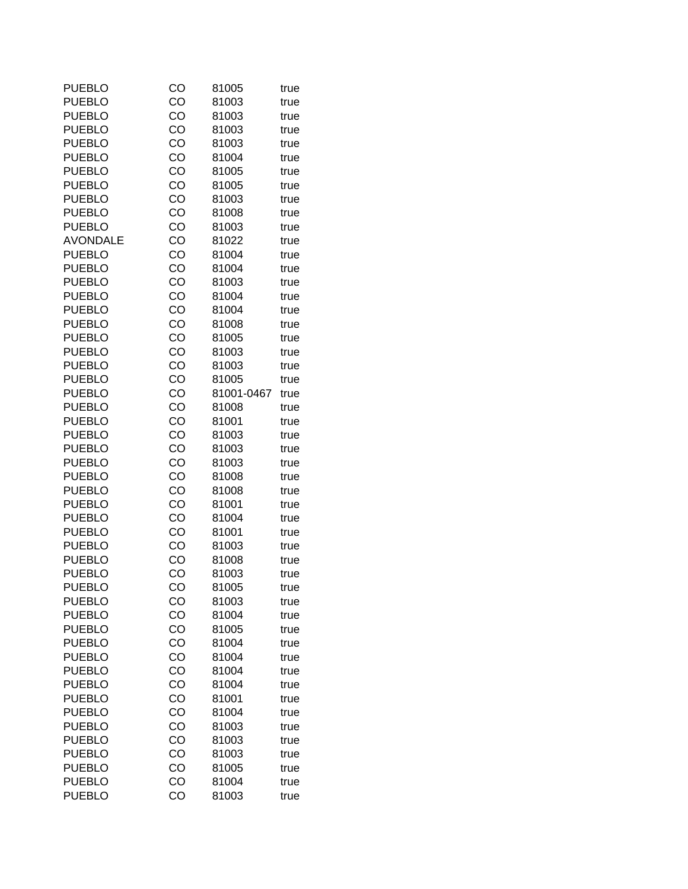| CO | 81005                                                                                                                                                                                                                                                                      | true                                                                                                                                                                                                                                                                                                                                                                                                 |
|----|----------------------------------------------------------------------------------------------------------------------------------------------------------------------------------------------------------------------------------------------------------------------------|------------------------------------------------------------------------------------------------------------------------------------------------------------------------------------------------------------------------------------------------------------------------------------------------------------------------------------------------------------------------------------------------------|
| CO | 81003                                                                                                                                                                                                                                                                      | true                                                                                                                                                                                                                                                                                                                                                                                                 |
| CO | 81003                                                                                                                                                                                                                                                                      | true                                                                                                                                                                                                                                                                                                                                                                                                 |
| CO | 81003                                                                                                                                                                                                                                                                      | true                                                                                                                                                                                                                                                                                                                                                                                                 |
| CO | 81003                                                                                                                                                                                                                                                                      | true                                                                                                                                                                                                                                                                                                                                                                                                 |
|    | 81004                                                                                                                                                                                                                                                                      | true                                                                                                                                                                                                                                                                                                                                                                                                 |
|    |                                                                                                                                                                                                                                                                            | true                                                                                                                                                                                                                                                                                                                                                                                                 |
|    |                                                                                                                                                                                                                                                                            | true                                                                                                                                                                                                                                                                                                                                                                                                 |
|    |                                                                                                                                                                                                                                                                            | true                                                                                                                                                                                                                                                                                                                                                                                                 |
|    |                                                                                                                                                                                                                                                                            | true                                                                                                                                                                                                                                                                                                                                                                                                 |
|    |                                                                                                                                                                                                                                                                            | true                                                                                                                                                                                                                                                                                                                                                                                                 |
|    |                                                                                                                                                                                                                                                                            | true                                                                                                                                                                                                                                                                                                                                                                                                 |
|    |                                                                                                                                                                                                                                                                            | true                                                                                                                                                                                                                                                                                                                                                                                                 |
|    |                                                                                                                                                                                                                                                                            | true                                                                                                                                                                                                                                                                                                                                                                                                 |
|    |                                                                                                                                                                                                                                                                            | true                                                                                                                                                                                                                                                                                                                                                                                                 |
|    |                                                                                                                                                                                                                                                                            | true                                                                                                                                                                                                                                                                                                                                                                                                 |
|    |                                                                                                                                                                                                                                                                            | true                                                                                                                                                                                                                                                                                                                                                                                                 |
|    |                                                                                                                                                                                                                                                                            | true                                                                                                                                                                                                                                                                                                                                                                                                 |
|    |                                                                                                                                                                                                                                                                            | true                                                                                                                                                                                                                                                                                                                                                                                                 |
|    |                                                                                                                                                                                                                                                                            | true                                                                                                                                                                                                                                                                                                                                                                                                 |
|    |                                                                                                                                                                                                                                                                            | true                                                                                                                                                                                                                                                                                                                                                                                                 |
|    |                                                                                                                                                                                                                                                                            | true                                                                                                                                                                                                                                                                                                                                                                                                 |
|    |                                                                                                                                                                                                                                                                            | true                                                                                                                                                                                                                                                                                                                                                                                                 |
|    |                                                                                                                                                                                                                                                                            | true                                                                                                                                                                                                                                                                                                                                                                                                 |
|    |                                                                                                                                                                                                                                                                            | true                                                                                                                                                                                                                                                                                                                                                                                                 |
|    |                                                                                                                                                                                                                                                                            |                                                                                                                                                                                                                                                                                                                                                                                                      |
|    |                                                                                                                                                                                                                                                                            | true                                                                                                                                                                                                                                                                                                                                                                                                 |
|    |                                                                                                                                                                                                                                                                            | true<br>true                                                                                                                                                                                                                                                                                                                                                                                         |
|    |                                                                                                                                                                                                                                                                            |                                                                                                                                                                                                                                                                                                                                                                                                      |
|    |                                                                                                                                                                                                                                                                            | true<br>true                                                                                                                                                                                                                                                                                                                                                                                         |
|    |                                                                                                                                                                                                                                                                            |                                                                                                                                                                                                                                                                                                                                                                                                      |
|    |                                                                                                                                                                                                                                                                            | true                                                                                                                                                                                                                                                                                                                                                                                                 |
|    |                                                                                                                                                                                                                                                                            | true                                                                                                                                                                                                                                                                                                                                                                                                 |
|    |                                                                                                                                                                                                                                                                            | true                                                                                                                                                                                                                                                                                                                                                                                                 |
|    |                                                                                                                                                                                                                                                                            | true                                                                                                                                                                                                                                                                                                                                                                                                 |
|    |                                                                                                                                                                                                                                                                            | true                                                                                                                                                                                                                                                                                                                                                                                                 |
|    |                                                                                                                                                                                                                                                                            | true                                                                                                                                                                                                                                                                                                                                                                                                 |
|    |                                                                                                                                                                                                                                                                            | true                                                                                                                                                                                                                                                                                                                                                                                                 |
|    |                                                                                                                                                                                                                                                                            | true                                                                                                                                                                                                                                                                                                                                                                                                 |
|    |                                                                                                                                                                                                                                                                            | true                                                                                                                                                                                                                                                                                                                                                                                                 |
|    |                                                                                                                                                                                                                                                                            | true                                                                                                                                                                                                                                                                                                                                                                                                 |
|    |                                                                                                                                                                                                                                                                            | true                                                                                                                                                                                                                                                                                                                                                                                                 |
|    |                                                                                                                                                                                                                                                                            | true                                                                                                                                                                                                                                                                                                                                                                                                 |
|    |                                                                                                                                                                                                                                                                            | true                                                                                                                                                                                                                                                                                                                                                                                                 |
|    |                                                                                                                                                                                                                                                                            | true                                                                                                                                                                                                                                                                                                                                                                                                 |
|    |                                                                                                                                                                                                                                                                            | true                                                                                                                                                                                                                                                                                                                                                                                                 |
|    |                                                                                                                                                                                                                                                                            | true                                                                                                                                                                                                                                                                                                                                                                                                 |
|    |                                                                                                                                                                                                                                                                            | true                                                                                                                                                                                                                                                                                                                                                                                                 |
|    |                                                                                                                                                                                                                                                                            | true                                                                                                                                                                                                                                                                                                                                                                                                 |
|    |                                                                                                                                                                                                                                                                            | true                                                                                                                                                                                                                                                                                                                                                                                                 |
|    | 81005                                                                                                                                                                                                                                                                      | true                                                                                                                                                                                                                                                                                                                                                                                                 |
| CO | 81004                                                                                                                                                                                                                                                                      | true                                                                                                                                                                                                                                                                                                                                                                                                 |
| CO | 81003                                                                                                                                                                                                                                                                      | true                                                                                                                                                                                                                                                                                                                                                                                                 |
|    | CO<br>CO<br>CO<br>CO<br>CO<br>CO<br>CO<br>CO<br>CO<br>CO<br>CO<br>CO<br>CO<br>CO<br>CO<br>CO<br>CO<br>CO<br>CO<br>CO<br>CO<br>CO<br>CO<br>CO<br>CO<br>CO<br>CO<br>CO<br>CO<br>CO<br>CO<br>CO<br>CO<br>CO<br>CO<br>CO<br>CO<br>CO<br>CO<br>CO<br>CO<br>CO<br>CO<br>CO<br>CO | 81005<br>81005<br>81003<br>81008<br>81003<br>81022<br>81004<br>81004<br>81003<br>81004<br>81004<br>81008<br>81005<br>81003<br>81003<br>81005<br>81001-0467<br>81008<br>81001<br>81003<br>81003<br>81003<br>81008<br>81008<br>81001<br>81004<br>81001<br>81003<br>81008<br>81003<br>81005<br>81003<br>81004<br>81005<br>81004<br>81004<br>81004<br>81004<br>81001<br>81004<br>81003<br>81003<br>81003 |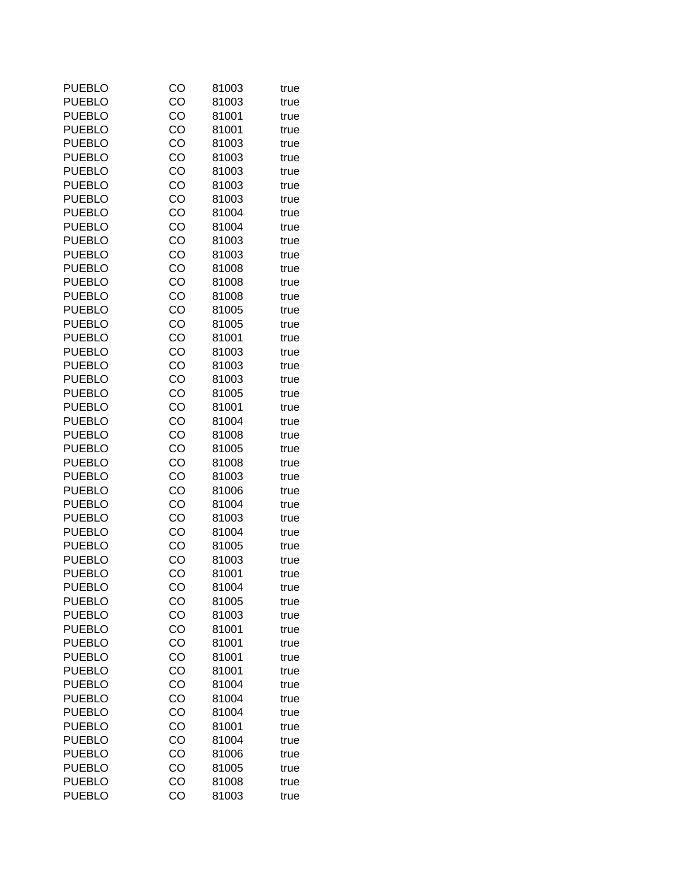| <b>PUEBLO</b> | CO | 81003 | true |
|---------------|----|-------|------|
| <b>PUEBLO</b> | CO | 81003 | true |
| <b>PUEBLO</b> | CO | 81001 | true |
| <b>PUEBLO</b> | CO | 81001 | true |
| <b>PUEBLO</b> | CO | 81003 | true |
| <b>PUEBLO</b> | CO | 81003 | true |
| <b>PUEBLO</b> | CO | 81003 | true |
| <b>PUEBLO</b> | CO | 81003 | true |
| <b>PUEBLO</b> | CO | 81003 | true |
| <b>PUEBLO</b> | CO | 81004 | true |
| <b>PUEBLO</b> | CO | 81004 | true |
| <b>PUEBLO</b> | CO | 81003 | true |
| <b>PUEBLO</b> | CO | 81003 | true |
| <b>PUEBLO</b> | CO | 81008 | true |
| <b>PUEBLO</b> | CO | 81008 | true |
| <b>PUEBLO</b> | CO | 81008 | true |
| <b>PUEBLO</b> | CO | 81005 | true |
| <b>PUEBLO</b> | CO | 81005 | true |
| <b>PUEBLO</b> | CO | 81001 | true |
| <b>PUEBLO</b> | CO | 81003 | true |
| <b>PUEBLO</b> | CO | 81003 | true |
| <b>PUEBLO</b> | CO | 81003 | true |
| <b>PUEBLO</b> | CO | 81005 | true |
| <b>PUEBLO</b> | CO | 81001 | true |
| <b>PUEBLO</b> | CO | 81004 | true |
| <b>PUEBLO</b> | CO | 81008 | true |
| <b>PUEBLO</b> | CO | 81005 | true |
| <b>PUEBLO</b> | CO | 81008 | true |
| <b>PUEBLO</b> | CO | 81003 | true |
| <b>PUEBLO</b> | CO | 81006 | true |
| <b>PUEBLO</b> | CO | 81004 | true |
| <b>PUEBLO</b> | CO | 81003 | true |
| <b>PUEBLO</b> | CO | 81004 | true |
| <b>PUEBLO</b> | CO | 81005 | true |
| <b>PUEBLO</b> | CO | 81003 | true |
| <b>PUEBLO</b> | CO | 81001 | true |
| <b>PUEBLO</b> | CO | 81004 | true |
| <b>PUEBLO</b> | CO | 81005 | true |
| <b>PUEBLO</b> | CO | 81003 | true |
| <b>PUEBLO</b> | CO | 81001 | true |
| <b>PUEBLO</b> | CO | 81001 | true |
| <b>PUEBLO</b> | CO | 81001 | true |
| <b>PUEBLO</b> | CO | 81001 | true |
| <b>PUEBLO</b> | CO | 81004 | true |
| <b>PUEBLO</b> | CO | 81004 | true |
| <b>PUEBLO</b> | CO | 81004 | true |
| <b>PUEBLO</b> | CO | 81001 | true |
| <b>PUEBLO</b> | CO | 81004 | true |
| <b>PUEBLO</b> | CO | 81006 | true |
| <b>PUEBLO</b> | CO | 81005 | true |
| <b>PUEBLO</b> | CO | 81008 | true |
| <b>PUEBLO</b> | CO | 81003 | true |